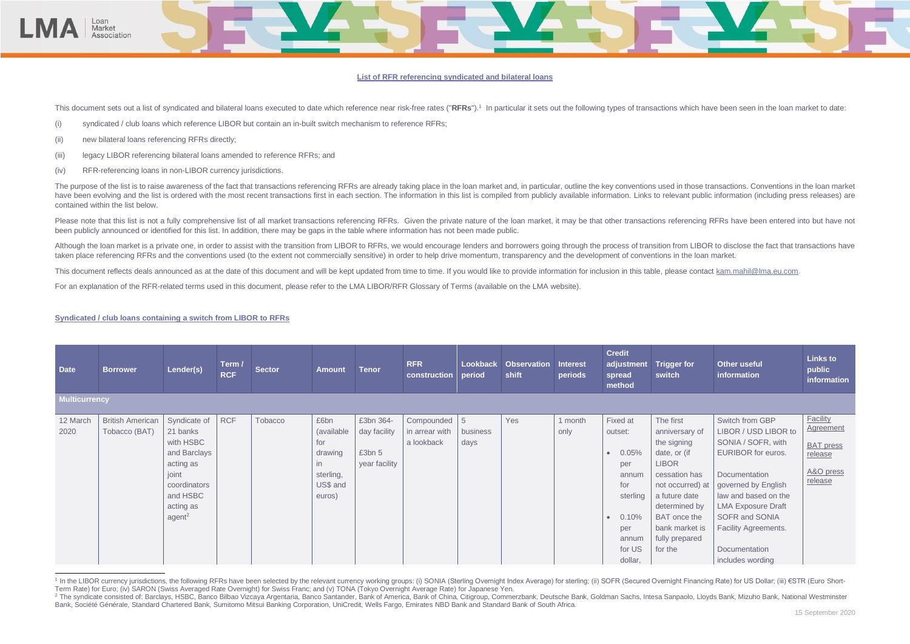### **List of RFR referencing syndicated and bilateral loans**

This document sets out a list of syndicated and bilateral loans executed to date which reference near risk-free rates ("RFRs").<sup>1</sup> In particular it sets out the following types of transactions which have been seen in the l

- (i) syndicated / club loans which reference LIBOR but contain an in-built switch mechanism to reference RFRs;
- (ii) new bilateral loans referencing RFRs directly;

oan Market Association

- (iii) legacy LIBOR referencing bilateral loans amended to reference RFRs; and
- (iv) RFR-referencing loans in non-LIBOR currency jurisdictions.

The purpose of the list is to raise awareness of the fact that transactions referencing RFRs are already taking place in the loan market and, in particular, outline the key conventions used in those transactions. Conventio have been evolving and the list is ordered with the most recent transactions first in each section. The information in this list is compiled from publicly available information. Links to relevant public information (includ contained within the list below.

Please note that this list is not a fully comprehensive list of all market transactions referencing RFRs. Given the private nature of the loan market, it may be that other transactions referencing RFRs have been entered in been publicly announced or identified for this list. In addition, there may be gaps in the table where information has not been made public.

Although the loan market is a private one, in order to assist with the transition from LIBOR to RFRs, we would encourage lenders and borrowers going through the process of transition from LIBOR to disclose the fact that tr taken place referencing RFRs and the conventions used (to the extent not commercially sensitive) in order to help drive momentum, transparency and the development of conventions in the loan market.

This document reflects deals announced as at the date of this document and will be kept updated from time to time. If you would like to provide information for inclusion in this table, please contact [kam.mahil@lma.eu.com.](mailto:kam.mahil@lma.eu.com)



For an explanation of the RFR-related terms used in this document, please refer to the LMA LIBOR/RFR Glossary of Terms (available on the LMA website).

## **Syndicated / club loans containing a switch from LIBOR to RFRs**

| <b>Date</b>          | <b>Borrower</b>                          | Lender(s)                                                                                                                                  | Term /<br><b>RCF</b> | <b>Sector</b> | <b>Amount</b>                                                                            | <b>Tenor</b>                                         | <b>RFR</b><br>construction                   | <b>Lookback</b><br>period | Observation<br>shift | <b>Interest</b><br>periods | <b>Credit</b><br>adjustment<br>spread<br>method                                                                                          | <b>Trigger for</b><br>switch                                                                                                                                                                                                | <b>Other useful</b><br>information                                                                                                                                                                                                                                            | <b>Links to</b><br>public<br>information                                            |
|----------------------|------------------------------------------|--------------------------------------------------------------------------------------------------------------------------------------------|----------------------|---------------|------------------------------------------------------------------------------------------|------------------------------------------------------|----------------------------------------------|---------------------------|----------------------|----------------------------|------------------------------------------------------------------------------------------------------------------------------------------|-----------------------------------------------------------------------------------------------------------------------------------------------------------------------------------------------------------------------------|-------------------------------------------------------------------------------------------------------------------------------------------------------------------------------------------------------------------------------------------------------------------------------|-------------------------------------------------------------------------------------|
| <b>Multicurrency</b> |                                          |                                                                                                                                            |                      |               |                                                                                          |                                                      |                                              |                           |                      |                            |                                                                                                                                          |                                                                                                                                                                                                                             |                                                                                                                                                                                                                                                                               |                                                                                     |
| 12 March<br>2020     | <b>British American</b><br>Tobacco (BAT) | Syndicate of<br>21 banks<br>with HSBC<br>and Barclays<br>acting as<br>joint<br>coordinators<br>and HSBC<br>acting as<br>agent <sup>2</sup> | <b>RCF</b>           | Tobacco       | £6bn<br>(available<br>for<br>drawing<br>$\mathsf{in}$<br>sterling,<br>US\$ and<br>euros) | £3bn 364-<br>day facility<br>£3bn 5<br>year facility | Compounded 5<br>in arrear with<br>a lookback | business<br>days          | Yes                  | 1 month<br>only            | Fixed at<br>outset:<br>0.05%<br>$\bullet$<br>per<br>annum<br>for<br>sterling<br>0.10%<br>$\epsilon$<br>per<br>annum<br>for US<br>dollar, | The first<br>anniversary of<br>the signing<br>date, or (if<br><b>LIBOR</b><br>cessation has<br>not occurred) at $ $<br>a future date<br>determined by<br><b>BAT</b> once the<br>bank market is<br>fully prepared<br>for the | Switch from GBP<br>LIBOR / USD LIBOR to<br>SONIA / SOFR, with<br><b>EURIBOR</b> for euros.<br>Documentation<br>governed by English<br>law and based on the<br><b>LMA Exposure Draft</b><br>SOFR and SONIA<br><b>Facility Agreements.</b><br>Documentation<br>includes wording | Facility<br><b>Agreement</b><br><b>BAT</b> press<br>release<br>A&O press<br>release |

<sup>1</sup> In the LIBOR currency jurisdictions, the following RFRs have been selected by the relevant currency working groups: (i) SONIA (Sterling Overnight Index Average) for sterling; (ii) SOFR (Secured Overnight Financing Rate) Term Rate) for Euro; (iv) SARON (Swiss Averaged Rate Overnight) for Swiss Franc; and (v) TONA (Tokyo Overnight Average Rate) for Japanese Yen.

<sup>&</sup>lt;sup>2</sup> The syndicate consisted of: Barclays, HSBC, Banco Bilbao Vizcaya Argentaria, Banco Santander, Bank of America, Bank of China, Citigroup, Commerzbank, Deutsche Bank, Goldman Sachs, Intesa Sanpaolo, Lloyds Bank, Mizuho B Bank, Société Générale, Standard Chartered Bank, Sumitomo Mitsui Banking Corporation, UniCredit, Wells Fargo, Emirates NBD Bank and Standard Bank of South Africa.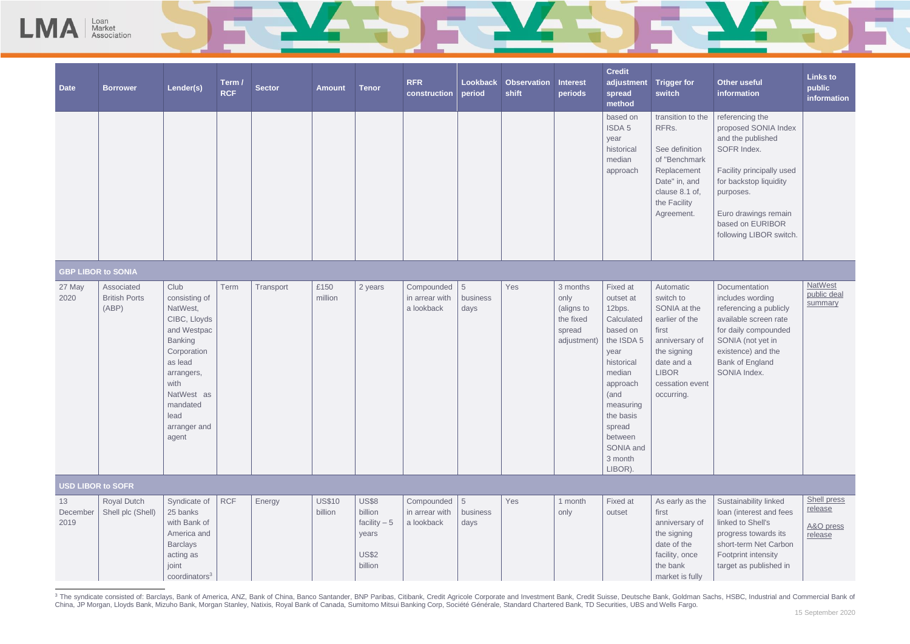

| <b>Date</b>            | <b>Borrower</b>                             | Lender(s)                                                                                                                                                                              | Term /<br><b>RCF</b> | <b>Sector</b> | <b>Amount</b>            | <b>Tenor</b>                                                                 | <b>RFR</b><br>construction                                 | Lookback<br>period | <b>Observation</b><br>shift | <b>Interest</b><br>periods                                           | <b>Credit</b><br>adjustment<br>spread<br>method                                                                                                                                                               | <b>Trigger for</b><br>switch                                                                                                                                      | <b>Other useful</b><br>information                                                                                                                                                                                     | <b>Links to</b><br>public<br>information       |
|------------------------|---------------------------------------------|----------------------------------------------------------------------------------------------------------------------------------------------------------------------------------------|----------------------|---------------|--------------------------|------------------------------------------------------------------------------|------------------------------------------------------------|--------------------|-----------------------------|----------------------------------------------------------------------|---------------------------------------------------------------------------------------------------------------------------------------------------------------------------------------------------------------|-------------------------------------------------------------------------------------------------------------------------------------------------------------------|------------------------------------------------------------------------------------------------------------------------------------------------------------------------------------------------------------------------|------------------------------------------------|
|                        |                                             |                                                                                                                                                                                        |                      |               |                          |                                                                              |                                                            |                    |                             |                                                                      | based on<br>ISDA 5<br>year<br>historical<br>median<br>approach                                                                                                                                                | transition to the<br>RFRs.<br>See definition<br>of "Benchmark<br>Replacement<br>Date" in, and<br>clause 8.1 of,<br>the Facility<br>Agreement.                     | referencing the<br>proposed SONIA Index<br>and the published<br>SOFR Index.<br>Facility principally used<br>for backstop liquidity<br>purposes.<br>Euro drawings remain<br>based on EURIBOR<br>following LIBOR switch. |                                                |
|                        | <b>GBP LIBOR to SONIA</b>                   |                                                                                                                                                                                        |                      |               |                          |                                                                              |                                                            |                    |                             |                                                                      |                                                                                                                                                                                                               |                                                                                                                                                                   |                                                                                                                                                                                                                        |                                                |
| 27 May<br>2020         | Associated<br><b>British Ports</b><br>(ABP) | Club<br>consisting of<br>NatWest,<br>CIBC, Lloyds<br>and Westpac<br>Banking<br>Corporation<br>as lead<br>arrangers,<br>with<br>NatWest as<br>mandated<br>lead<br>arranger and<br>agent | Term                 | Transport     | £150<br>million          | 2 years                                                                      | Compounded 5<br>in arrear with<br>a lookback               | business<br>days   | Yes                         | 3 months<br>only<br>(aligns to<br>the fixed<br>spread<br>adjustment) | Fixed at<br>outset at<br>12bps.<br>Calculated<br>based on<br>the ISDA 5<br>year<br>historical<br>median<br>approach<br>(and<br>measuring<br>the basis<br>spread<br>between<br>SONIA and<br>3 month<br>LIBOR). | Automatic<br>switch to<br>SONIA at the<br>earlier of the<br>first<br>anniversary of<br>the signing<br>date and a<br><b>LIBOR</b><br>cessation event<br>occurring. | Documentation<br>includes wording<br>referencing a publicly<br>available screen rate<br>for daily compounded<br>SONIA (not yet in<br>existence) and the<br>Bank of England<br>SONIA Index.                             | <b>NatWest</b><br>public deal<br>summary       |
|                        | <b>USD LIBOR to SOFR</b>                    |                                                                                                                                                                                        |                      |               |                          |                                                                              |                                                            |                    |                             |                                                                      |                                                                                                                                                                                                               |                                                                                                                                                                   |                                                                                                                                                                                                                        |                                                |
| 13<br>December<br>2019 | <b>Royal Dutch</b><br>Shell plc (Shell)     | Syndicate of<br>25 banks<br>with Bank of<br>America and<br><b>Barclays</b><br>acting as<br>joint<br>coordinators <sup>3</sup>                                                          | <b>RCF</b>           | Energy        | <b>US\$10</b><br>billion | <b>US\$8</b><br>billion<br>facility $-5$<br>years<br><b>US\$2</b><br>billion | Compounded $\vert 5 \vert$<br>in arrear with<br>a lookback | business<br>days   | Yes                         | 1 month<br>only                                                      | Fixed at<br>outset                                                                                                                                                                                            | As early as the<br>first<br>anniversary of<br>the signing<br>date of the<br>facility, once<br>the bank<br>market is fully                                         | Sustainability linked<br>loan (interest and fees<br>linked to Shell's<br>progress towards its<br>short-term Net Carbon<br>Footprint intensity<br>target as published in                                                | Shell press<br>release<br>A&O press<br>release |

<sup>3</sup> The syndicate consisted of: Barclays, Bank of America, ANZ, Bank of China, Banco Santander, BNP Paribas, Citibank, Credit Agricole Corporate and Investment Bank, Credit Suisse, Deutsche Bank, Goldman Sachs, HSBC, Indus China, JP Morgan, Lloyds Bank, Mizuho Bank, Morgan Stanley, Natixis, Royal Bank of Canada, Sumitomo Mitsui Banking Corp, Société Générale, Standard Chartered Bank, TD Securities, UBS and Wells Fargo.

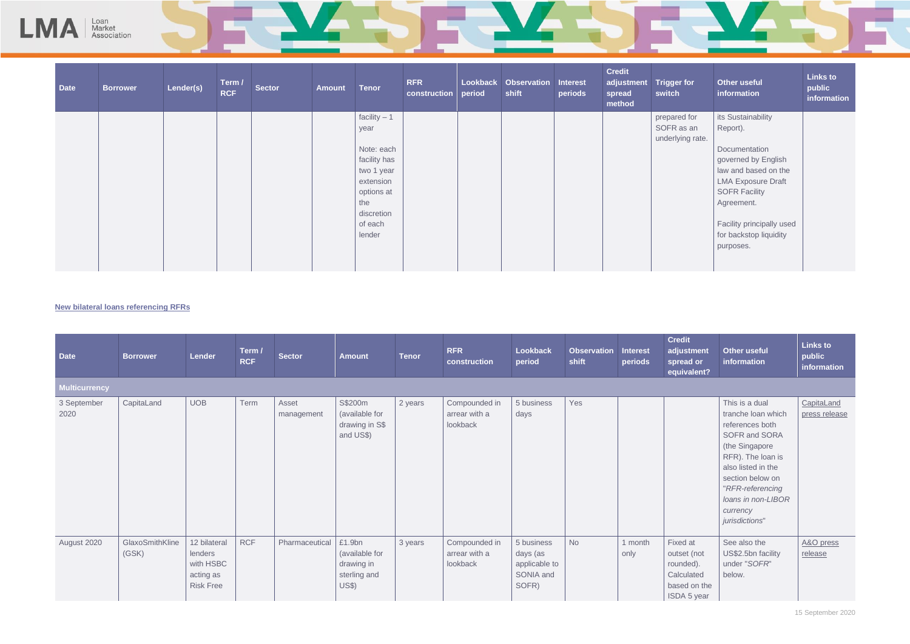

| <b>Date</b> | <b>Borrower</b> | Lender(s) | Term /<br><b>RCF</b> | <b>Sector</b> | <b>Amount</b> | <b>Tenor</b>      | <b>RFR</b><br>construction | <b>Lookback</b><br>period | <b>Observation</b><br>shift | <b>Interest</b><br>periods | <b>Credit</b><br>adjustment<br>spread<br>method | <b>Trigger for</b><br>switch   | <b>Other useful</b><br>information  | <b>Links to</b><br>public<br>information |
|-------------|-----------------|-----------|----------------------|---------------|---------------|-------------------|----------------------------|---------------------------|-----------------------------|----------------------------|-------------------------------------------------|--------------------------------|-------------------------------------|------------------------------------------|
|             |                 |           |                      |               |               | facility $-1$     |                            |                           |                             |                            |                                                 | prepared for                   | its Sustainability                  |                                          |
|             |                 |           |                      |               |               | year              |                            |                           |                             |                            |                                                 | SOFR as an<br>underlying rate. | Report).                            |                                          |
|             |                 |           |                      |               |               | Note: each        |                            |                           |                             |                            |                                                 |                                | Documentation                       |                                          |
|             |                 |           |                      |               |               | facility has      |                            |                           |                             |                            |                                                 |                                | governed by English                 |                                          |
|             |                 |           |                      |               |               | two 1 year        |                            |                           |                             |                            |                                                 |                                | law and based on the                |                                          |
|             |                 |           |                      |               |               | extension         |                            |                           |                             |                            |                                                 |                                | <b>LMA Exposure Draft</b>           |                                          |
|             |                 |           |                      |               |               | options at<br>the |                            |                           |                             |                            |                                                 |                                | <b>SOFR Facility</b>                |                                          |
|             |                 |           |                      |               |               | discretion        |                            |                           |                             |                            |                                                 |                                | Agreement.                          |                                          |
|             |                 |           |                      |               |               | of each           |                            |                           |                             |                            |                                                 |                                | Facility principally used           |                                          |
|             |                 |           |                      |               |               | lender            |                            |                           |                             |                            |                                                 |                                | for backstop liquidity<br>purposes. |                                          |
|             |                 |           |                      |               |               |                   |                            |                           |                             |                            |                                                 |                                |                                     |                                          |

## **New bilateral loans referencing RFRs**

| <b>Date</b>          | <b>Borrower</b>          | Lender                                                                | Term /<br><b>RCF</b> | <b>Sector</b>       | <b>Amount</b>                                                          | <b>Tenor</b> | <b>RFR</b><br>construction                 | Lookback<br>period                                            | <b>Observation</b><br>shift | <b>Interest</b><br>periods | <b>Credit</b><br>adjustment<br>spread or<br>equivalent?                           | <b>Other useful</b><br>information                                                                                                                                                                                                | <b>Links to</b><br>public<br>information |
|----------------------|--------------------------|-----------------------------------------------------------------------|----------------------|---------------------|------------------------------------------------------------------------|--------------|--------------------------------------------|---------------------------------------------------------------|-----------------------------|----------------------------|-----------------------------------------------------------------------------------|-----------------------------------------------------------------------------------------------------------------------------------------------------------------------------------------------------------------------------------|------------------------------------------|
| <b>Multicurrency</b> |                          |                                                                       |                      |                     |                                                                        |              |                                            |                                                               |                             |                            |                                                                                   |                                                                                                                                                                                                                                   |                                          |
| 3 September<br>2020  | CapitaLand               | <b>UOB</b>                                                            | Term                 | Asset<br>management | S\$200m<br>(available for<br>drawing in S\$<br>and US\$)               | 2 years      | Compounded in<br>arrear with a<br>lookback | 5 business<br>days                                            | Yes                         |                            |                                                                                   | This is a dual<br>tranche loan which<br>references both<br>SOFR and SORA<br>(the Singapore<br>RFR). The loan is<br>also listed in the<br>section below on<br>"RFR-referencing<br>loans in non-LIBOR<br>currency<br>jurisdictions" | CapitaLand<br>press release              |
| August 2020          | GlaxoSmithKline<br>(GSK) | 12 bilateral<br>lenders<br>with HSBC<br>acting as<br><b>Risk Free</b> | <b>RCF</b>           | Pharmaceutical      | £1.9bn<br>(available for<br>drawing in<br>sterling and<br><b>US\$)</b> | 3 years      | Compounded in<br>arrear with a<br>lookback | 5 business<br>days (as<br>applicable to<br>SONIA and<br>SOFR) | <b>No</b>                   | 1 month<br>only            | Fixed at<br>outset (not<br>rounded).<br>Calculated<br>based on the<br>ISDA 5 year | See also the<br>US\$2.5bn facility<br>under "SOFR"<br>below.                                                                                                                                                                      | A&O press<br>release                     |

|  | ________ |
|--|----------|
|  |          |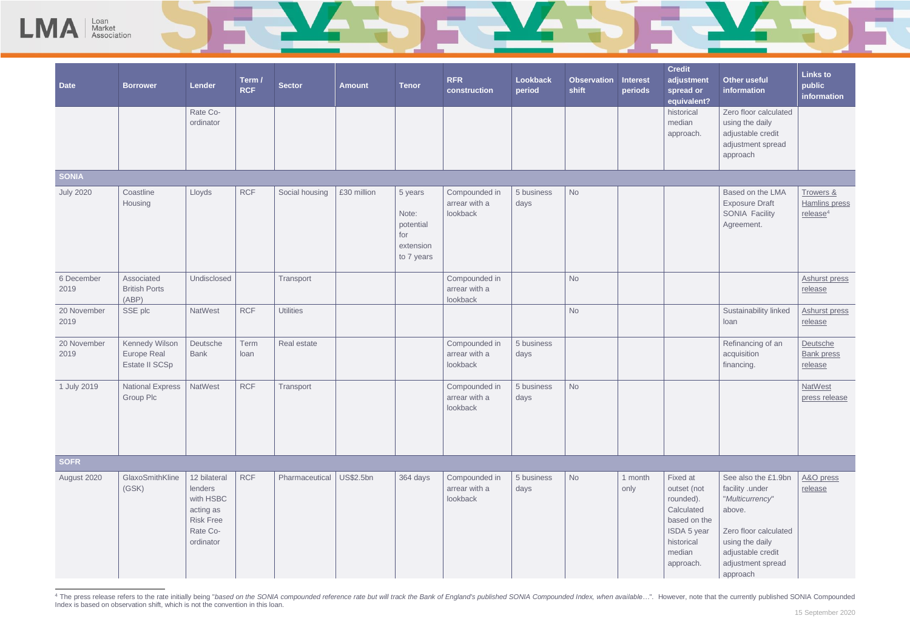

Loan<br>Market

<sup>&</sup>lt;sup>4</sup> The press release refers to the rate initially being "based on the SONIA compounded reference rate but will track the Bank of England's published SONIA Compounded Index, when available...". However, note that the curre Index is based on observation shift, which is not the convention in this loan.

| <b>Observation</b><br>shift | <b>Interest</b><br>periods | <b>Credit</b><br>adjustment<br>spread or<br>equivalent?                                                                | <b>Other useful</b><br>information                                                                                                                                    | <b>Links to</b><br>public<br>information           |
|-----------------------------|----------------------------|------------------------------------------------------------------------------------------------------------------------|-----------------------------------------------------------------------------------------------------------------------------------------------------------------------|----------------------------------------------------|
|                             |                            | historical<br>median<br>approach.                                                                                      | Zero floor calculated<br>using the daily<br>adjustable credit<br>adjustment spread<br>approach                                                                        |                                                    |
|                             |                            |                                                                                                                        |                                                                                                                                                                       |                                                    |
| <b>No</b>                   |                            |                                                                                                                        | Based on the LMA<br><b>Exposure Draft</b><br><b>SONIA Facility</b><br>Agreement.                                                                                      | Trowers &<br>Hamlins press<br>release <sup>4</sup> |
| <b>No</b>                   |                            |                                                                                                                        |                                                                                                                                                                       | <b>Ashurst press</b><br>release                    |
| <b>No</b>                   |                            |                                                                                                                        | Sustainability linked<br>loan                                                                                                                                         | <b>Ashurst press</b><br>release                    |
|                             |                            |                                                                                                                        | Refinancing of an<br>acquisition<br>financing.                                                                                                                        | Deutsche<br><b>Bank press</b><br>release           |
| <b>No</b>                   |                            |                                                                                                                        |                                                                                                                                                                       | <b>NatWest</b><br>press release                    |
|                             |                            |                                                                                                                        |                                                                                                                                                                       |                                                    |
| <b>No</b>                   | 1 month<br>only            | Fixed at<br>outset (not<br>rounded).<br>Calculated<br>based on the<br>ISDA 5 year<br>historical<br>median<br>approach. | See also the £1.9bn<br>facility .under<br>"Multicurrency"<br>above.<br>Zero floor calculated<br>using the daily<br>adjustable credit<br>adjustment spread<br>approach | A&O press<br>release                               |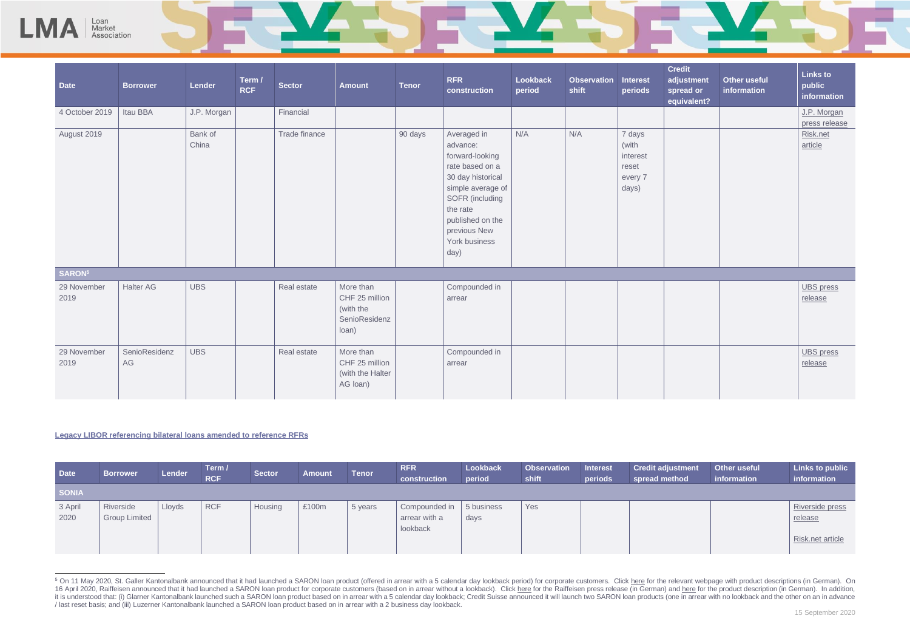

| t<br><b>stment</b><br>d or<br>alent? | <b>Other useful</b><br>information | <b>Links to</b><br>public<br><i>information</i>     |
|--------------------------------------|------------------------------------|-----------------------------------------------------|
|                                      |                                    | J.P. Morgan<br>press release<br>Risk.net<br>article |
|                                      |                                    |                                                     |
|                                      |                                    | <b>UBS</b> press<br>release                         |
|                                      |                                    | <b>UBS</b> press<br>release                         |

# **Legacy LIBOR referencing bilateral loans amended to reference RFRs**

Loan<br>Market Association

| <b>Date</b>     | <b>Borrower</b>                   | Lender | Term /<br><b>RCF</b> | Sector  | <b>Amount</b> | <b>Tenor</b> | <b>RFR</b><br>construction                   | <b>Lookback</b><br>period | <b>Observation</b><br>shift | <b>Interest</b><br>periods | <b>Credit adjustment</b><br>spread method | <b>Other useful</b><br>information | <b>Links to public</b><br>information          |
|-----------------|-----------------------------------|--------|----------------------|---------|---------------|--------------|----------------------------------------------|---------------------------|-----------------------------|----------------------------|-------------------------------------------|------------------------------------|------------------------------------------------|
| <b>SONIA</b>    |                                   |        |                      |         |               |              |                                              |                           |                             |                            |                                           |                                    |                                                |
| 3 April<br>2020 | Riverside<br><b>Group Limited</b> | Lloyds | RCF                  | Housing | £100m         | 5 years      | Compounded in  <br>arrear with a<br>lookback | 5 business<br>days        | Yes                         |                            |                                           |                                    | Riverside press<br>release<br>Risk.net article |

<sup>&</sup>lt;sup>5</sup> On 11 May 2020, St. Galler Kantonalbank announced that it had launched a SARON loan product (offered in arrear with a 5 calendar day lookback period) for corporate customers. Click [here](https://www.sgkb.ch/de/privatkunden/vom-libor-zum-saron#content-45556) for the relevant webpage with pr 16 April 2020, Raiffeisen announced that it had launched a SARON loan product for corporate customers (based on in arrear without a lookback). Clic[k here](https://www.raiffeisen.ch/st--gallen/de/ueber-uns/news/rch/saron.html) for the Raiffeisen press release (in German) and [here](https://www.raiffeisen.ch/content/dam/www/rch/pdf/firmenkunden/investition-und-finanzierung/download/de/produktblatt-saron-flex-kredit.pdf) for the produc it is understood that: (i) Glarner Kantonalbank launched such a SARON loan product based on in arrear with a 5 calendar day lookback; Credit Suisse announced it will launch two SARON loan products (one in arrear with no lo / last reset basis; and (iii) Luzerner Kantonalbank launched a SARON loan product based on in arrear with a 2 business day lookback.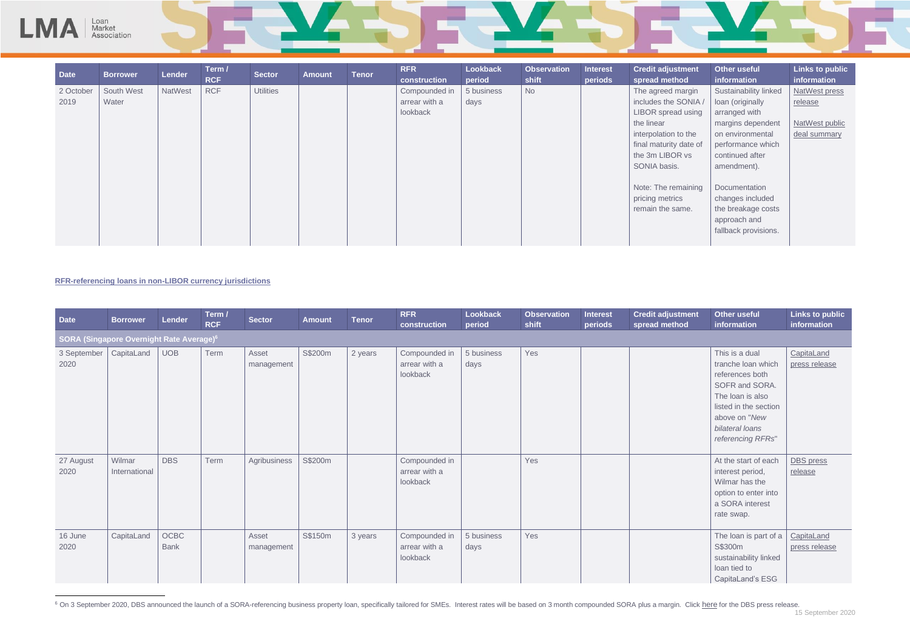

| <b>Date</b>                                          | <b>Borrower</b>         | Lender              | Term /<br><b>RCF</b> | <b>Sector</b>       | <b>Amount</b> | <b>Tenor</b> | <b>RFR</b><br>construction                 | Lookback<br>period | <b>Observation</b><br>shift | <b>Interest</b><br>periods | <b>Credit adjustment</b><br>spread method | <b>Other useful</b><br>information                                                                                                                                              | <b>Links to public</b><br>information |
|------------------------------------------------------|-------------------------|---------------------|----------------------|---------------------|---------------|--------------|--------------------------------------------|--------------------|-----------------------------|----------------------------|-------------------------------------------|---------------------------------------------------------------------------------------------------------------------------------------------------------------------------------|---------------------------------------|
| SORA (Singapore Overnight Rate Average) <sup>6</sup> |                         |                     |                      |                     |               |              |                                            |                    |                             |                            |                                           |                                                                                                                                                                                 |                                       |
| 3 September<br>2020                                  | CapitaLand              | UOB                 | Term                 | Asset<br>management | S\$200m       | 2 years      | Compounded in<br>arrear with a<br>lookback | 5 business<br>days | Yes                         |                            |                                           | This is a dual<br>tranche loan which<br>references both<br>SOFR and SORA.<br>The loan is also<br>listed in the section<br>above on "New<br>bilateral loans<br>referencing RFRs" | CapitaLand<br>press release           |
| 27 August<br>2020                                    | Wilmar<br>International | <b>DBS</b>          | Term                 | Agribusiness        | S\$200m       |              | Compounded in<br>arrear with a<br>lookback |                    | Yes                         |                            |                                           | At the start of each<br>interest period,<br>Wilmar has the<br>option to enter into<br>a SORA interest<br>rate swap.                                                             | <b>DBS</b> press<br>release           |
| 16 June<br>2020                                      | CapitaLand              | OCBC<br><b>Bank</b> |                      | Asset<br>management | S\$150m       | 3 years      | Compounded in<br>arrear with a<br>lookback | 5 business<br>days | Yes                         |                            |                                           | The loan is part of a<br>S\$300m<br>sustainability linked<br>loan tied to<br>CapitaLand's ESG                                                                                   | CapitaLand<br>press release           |

<sup>&</sup>lt;sup>6</sup> On 3 September 2020, DBS announced the launch of a SORA-referencing business property loan, specifically tailored for SMEs. Interest rates will be based on 3 month compounded SORA plus a margin. Click [here](https://www.dbs.com/NewsPrinter.page?newsId=kebpfq4g&locale=en) for the DBS

| ent   | <b>Other useful</b>   | <b>Links to public</b> |
|-------|-----------------------|------------------------|
|       | <b>information</b>    | information            |
| gin   | Sustainability linked | <b>NatWest press</b>   |
| NIA / | loan (originally      | release                |
| sing  | arranged with         |                        |
|       | margins dependent     | NatWest public         |
| he    | on environmental      | deal summary           |
| te of | performance which     |                        |
| S     | continued after       |                        |
|       | amendment).           |                        |
|       |                       |                        |
| ning  | Documentation         |                        |
|       | changes included      |                        |
| Э.    | the breakage costs    |                        |
|       | approach and          |                        |
|       | fallback provisions.  |                        |
|       |                       |                        |

# **RFR-referencing loans in non-LIBOR currency jurisdictions**

L